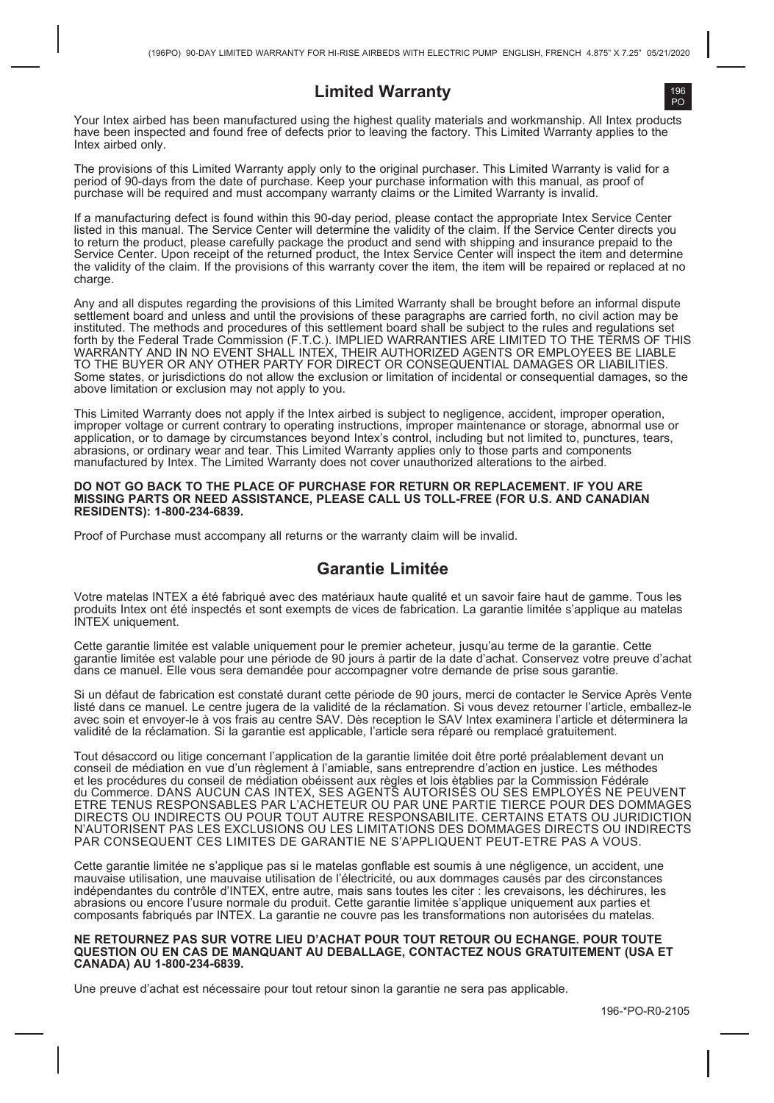## **Limited Warranty**

Your Intex airbed has been manufactured using the highest quality materials and workmanship. All Intex products have been inspected and found free of defects prior to leaving the factory. This Limited Warranty applies to the Intex airbed only.

The provisions of this Limited Warranty apply only to the original purchaser. This Limited Warranty is valid for a<br>period of 90-days from the date of purchase. Keep your purchase information with this manual, as proof of purchase will be required and must accompany warranty claims or the Limited Warranty is invalid.

If a manufacturing defect is found within this 90-day period, please contact the appropriate Intex Service Center listed in this manual. The Service Center will determine the validity of the claim. If the Service Center directs you to return the product, please carefully package the product and send with shipping and insurance prepaid to the Service Center. Upon receipt of the returned product, the Intex Service Center will inspect the item and determine the validity of the claim. If the provisions of this warranty cover the item, the item will be repaired or replaced at no charge

Any and all disputes regarding the provisions of this Limited Warranty shall be brought before an informal dispute settlement board and unless and until the provisions of these paragraphs are carried forth, no civil action may be instituted. The methods and procedures of this settlement board shall be subject to the rules and regulations set forth by the Federal Trade Commission (F.T.C.). IMPLIED WARRANTIES ARE LIMITED TO THE TERMS OF THIS<br>WARRANTY AND IN NO EVENT SHALL INTEX, THEIR AUTHORIZED AGENTS OR EMPLOYEES BE LIABLE TO THE BUYER OR ANY OTHER PARTY FOR DIRECT OR CONSEQUENTIAL DAMAGES OR LIABILITIES. Some states, or jurisdictions do not allow the exclusion or limitation of incidental or consequential damages, so the above limitation or exclusion may not apply to you.

This Limited Warranty does not apply if the Intex airbed is subject to negligence, accident, improper operation, improper voltage or current contrary to operating instructions, improper maintenance or storage, abnormal use or application, or to damage by circumstances beyond Intex's control, including but not limited to, punctures, tears, abrasions, or ordinary wear and tear. This Limited Warranty applies only to those parts and components manufactured by Intex. The Limited Warranty does not cover unauthorized alterations to the airbed.

### **DO NOT GO BACK TO THE PLACE OF PURCHASE FOR RETURN OR REPLACEMENT. IF YOU ARE MISSING PARTS OR NEED ASSISTANCE, PLEASE CALL US TOLL-FREE (FOR U.S. AND CANADIAN RESIDENTS): 1-800-234-6839.**

Proof of Purchase must accompany all returns or the warranty claim will be invalid.

## **Garantie Limitée**

Votre matelas INTEX a été fabriqué avec des matériaux haute qualité et un savoir faire haut de gamme. Tous les produits Intex ont été inspectés et sont exempts de vices de fabrication. La garantie limitée s'applique au matelas INTEX uniquement.

Cette garantie limitée est valable uniquement pour le premier acheteur, jusqu'au terme de la garantie. Cette garantie limitée est valable pour une période de 90 jours à partir de la date d'achat. Conservez votre preuve d'achat dans ce manuel. Elle vous sera demandée pour accompagner votre demande de prise sous garantie.

Si un défaut de fabrication est constaté durant cette période de 90 jours, merci de contacter le Service Après Vente listé dans ce manuel. Le centre jugera de la validité de la réclamation. Si vous devez retourner l'article, emballez-le avec soin et envoyer-le à vos frais au centre SAV. Dès reception le SAV Intex examinera l'article et déterminera la validité de la réclamation. Si la garantie est applicable, l'article sera réparé ou remplacé gratuitement.

Tout désaccord ou litige concernant l'application de la garantie limitée doit être porté préalablement devant un conseil de médiation en vue d'un règlement à l'amiable, sans entreprendre d'action en justice. Les méthodes et les procédures du conseil de médiation obéissent aux règles et lois ètablies par la Commission Fédérale<br>du Commerce. DANS AUCUN CAS INTEX, SES AGENTS AUTORISÉS OU SES EMPLOYÉS NE PEUVENT ETRE TENUS RESPONSABLES PAR L'ACHETEUR OU PAR UNE PARTIE TIERCE POUR DES DOMMAGES DIRECTS OU INDIRECTS OU POUR TOUT AUTRE RESPONSABILITE. CERTAINS ETATS OU JURIDICTION N'AUTORISENT PAS LES EXCLUSIONS OU LES LIMITATIONS DES DOMMAGES DIRECTS OU INDIRECTS PAR CONSEQUENT CES LIMITES DE GARANTIE NE S'APPLIQUENT PEUT-ETRE PAS A VOUS.

Cette garantie limitée ne s'applique pas si le matelas gonflable est soumis à une négligence, un accident, une mauvaise utilisation, une mauvaise utilisation de l'électricité, ou aux dommages causés par des circonstances indépendantes du contrôle d'INTEX, entre autre, mais sans toutes les citer : les crevaisons, les déchirures, les abrasions ou encore l'usure normale du produit. Cette garantie limitée s'applique uniquement aux parties et composants fabriqués par INTEX. La garantie ne couvre pas les transformations non autorisées du matelas.

#### **NE RETOURNEZ PAS SUR VOTRE LIEU D'ACHAT POUR TOUT RETOUR OU ECHANGE. POUR TOUTE QUESTION OU EN CAS DE MANQUANT AU DEBALLAGE, CONTACTEZ NOUS GRATUITEMENT (USA ET CANADA) AU 1-800-234-6839.**

Une preuve d'achat est nécessaire pour tout retour sinon la garantie ne sera pas applicable.

196 PO